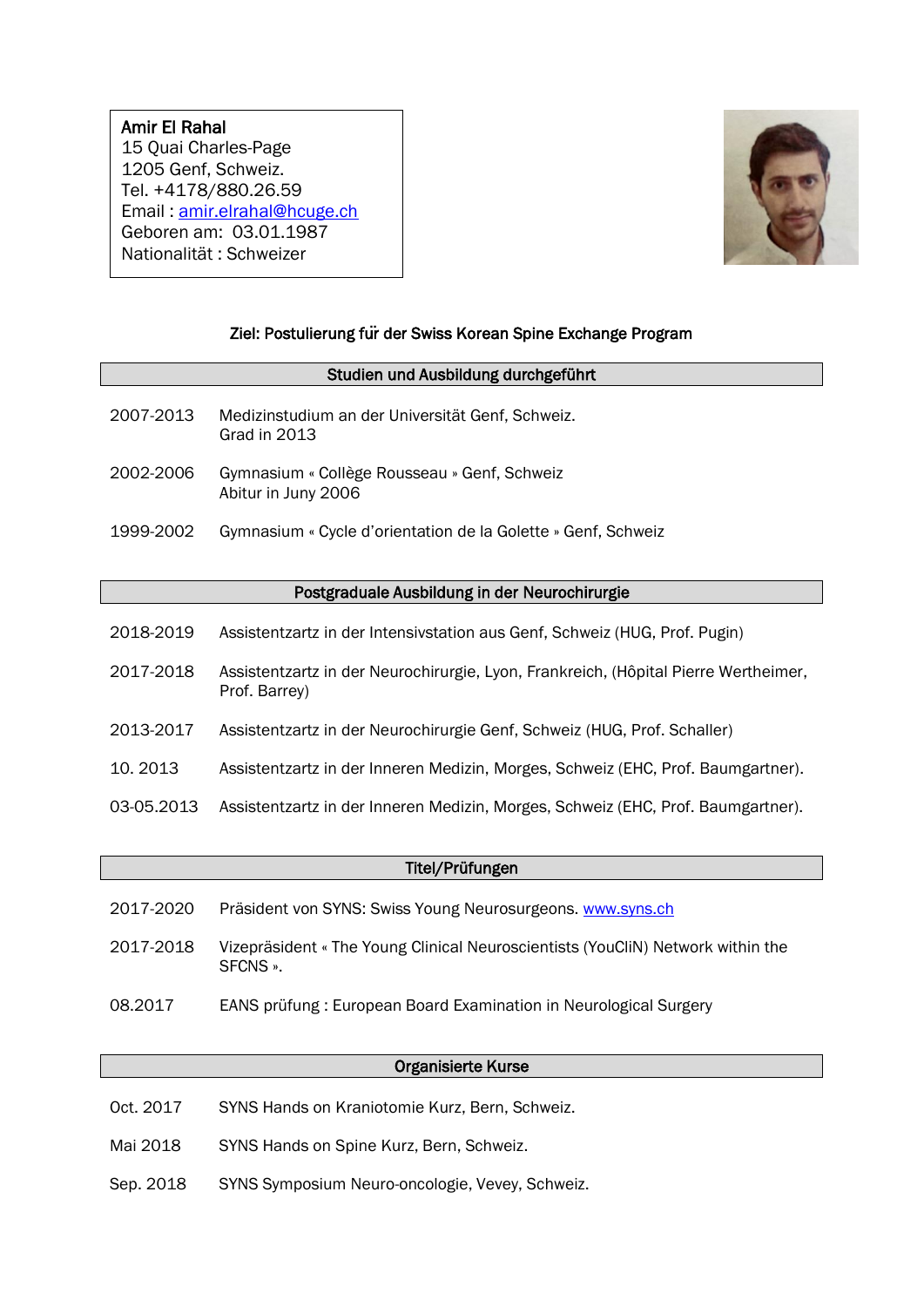# Amir El Rahal 15 Quai Charles-Page 1205 Genf, Schweiz. Tel. +4178/880.26.59 Email : [amir.elrahal@hcuge.ch](mailto:elrahal6@etu.unige.ch) Geboren am: 03.01.1987 Nationalität : Schweizer

 $\overline{\phantom{a}}$ 



### Ziel: Postulierung fu**̈**r der Swiss Korean Spine Exchange Program

#### Studien und Ausbildung durchgeführt

- 2007-2013 Medizinstudium an der Universität Genf, Schweiz. Grad in 2013
- 2002-2006 Gymnasium « Collège Rousseau » Genf, Schweiz Abitur in Juny 2006
- 1999-2002 Gymnasium « Cycle d'orientation de la Golette » Genf, Schweiz

#### Postgraduale Ausbildung in der Neurochirurgie

- 2018-2019 Assistentzartz in der Intensivstation aus Genf, Schweiz (HUG, Prof. Pugin)
- 2017-2018 Assistentzartz in der Neurochirurgie, Lyon, Frankreich, (Hôpital Pierre Wertheimer, Prof. Barrey)
- 2013-2017 Assistentzartz in der Neurochirurgie Genf, Schweiz (HUG, Prof. Schaller)
- 10. 2013 Assistentzartz in der Inneren Medizin, Morges, Schweiz (EHC, Prof. Baumgartner).
- 03-05.2013 Assistentzartz in der Inneren Medizin, Morges, Schweiz (EHC, Prof. Baumgartner).

#### Titel/Prüfungen

- 2017-2020 Präsident von SYNS: Swiss Young Neurosurgeons. [www.syns.ch](http://www.syns.ch/)
- 2017-2018 Vizepräsident « The Young Clinical Neuroscientists (YouCliN) Network within the SFCNS ».
- 08.2017 EANS prüfung : European Board Examination in Neurological Surgery

#### Organisierte Kurse

- Oct. 2017 SYNS Hands on Kraniotomie Kurz, Bern, Schweiz.
- Mai 2018 SYNS Hands on Spine Kurz, Bern, Schweiz.
- Sep. 2018 SYNS Symposium Neuro-oncologie, Vevey, Schweiz.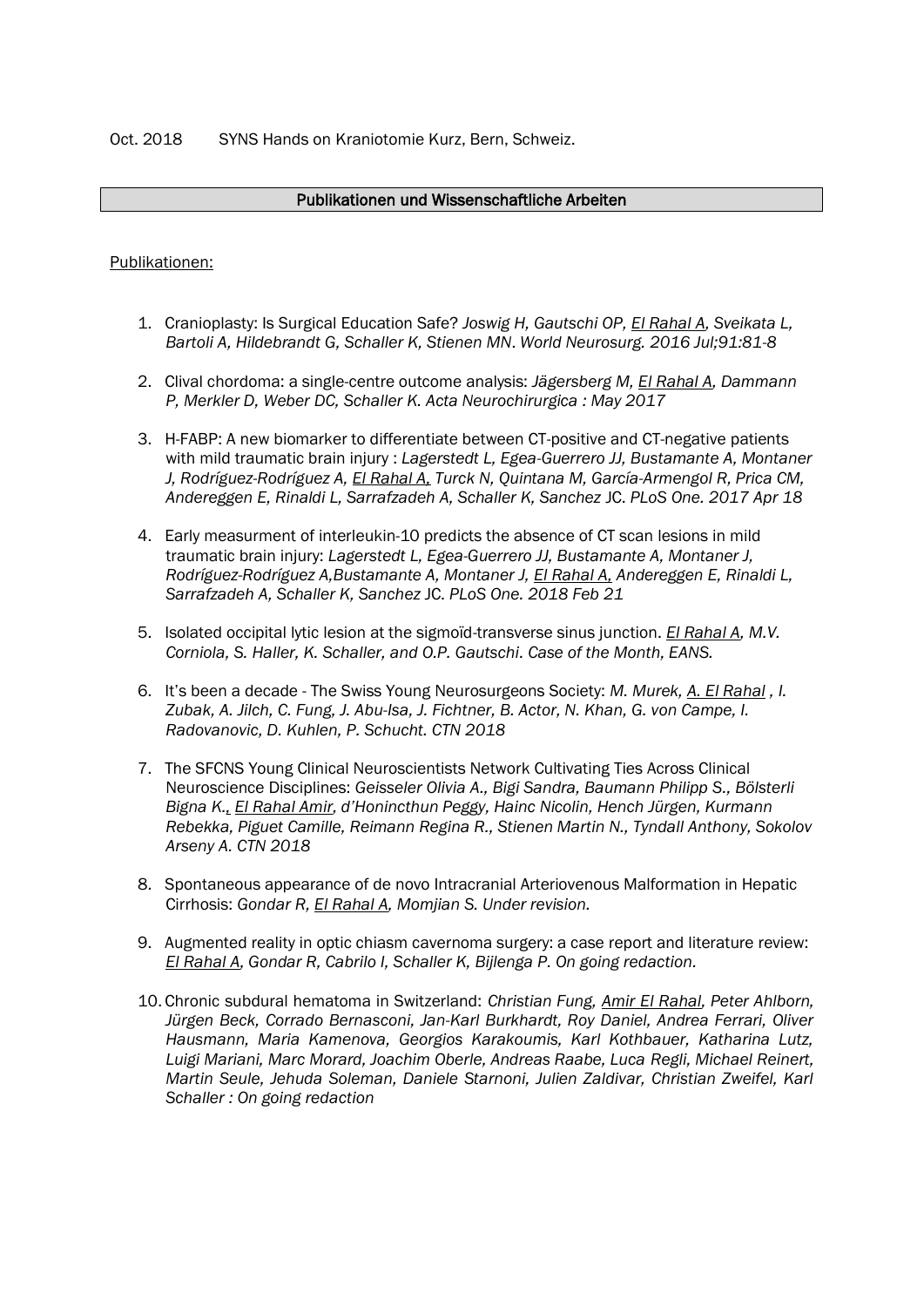### Publikationen und Wissenschaftliche Arbeiten

### Publikationen:

- 1. Cranioplasty: Is Surgical Education Safe? *[Joswig H,](https://www.ncbi.nlm.nih.gov/pubmed/?term=Joswig%20H%5BAuthor%5D&cauthor=true&cauthor_uid=27062919) [Gautschi OP,](https://www.ncbi.nlm.nih.gov/pubmed/?term=Gautschi%20OP%5BAuthor%5D&cauthor=true&cauthor_uid=27062919) [El Rahal A,](https://www.ncbi.nlm.nih.gov/pubmed/?term=El%20Rahal%20A%5BAuthor%5D&cauthor=true&cauthor_uid=27062919) [Sveikata L,](https://www.ncbi.nlm.nih.gov/pubmed/?term=Sveikata%20L%5BAuthor%5D&cauthor=true&cauthor_uid=27062919) [Bartoli A,](https://www.ncbi.nlm.nih.gov/pubmed/?term=Bartoli%20A%5BAuthor%5D&cauthor=true&cauthor_uid=27062919) [Hildebrandt G,](https://www.ncbi.nlm.nih.gov/pubmed/?term=Hildebrandt%20G%5BAuthor%5D&cauthor=true&cauthor_uid=27062919) [Schaller K,](https://www.ncbi.nlm.nih.gov/pubmed/?term=Schaller%20K%5BAuthor%5D&cauthor=true&cauthor_uid=27062919) [Stienen MN](https://www.ncbi.nlm.nih.gov/pubmed/?term=Stienen%20MN%5BAuthor%5D&cauthor=true&cauthor_uid=27062919)*. *[World Neurosurg.](https://www.ncbi.nlm.nih.gov/pubmed/?term=el+rahal) 2016 Jul;91:81-8*
- 2. Clival chordoma: a single-centre outcome analysis: *[Jägersberg M,](https://www.ncbi.nlm.nih.gov/pubmed/?term=J%C3%A4gersberg%20M%5BAuthor%5D&cauthor=true&cauthor_uid=28478512) [El Rahal A,](https://www.ncbi.nlm.nih.gov/pubmed/?term=El%20Rahal%20A%5BAuthor%5D&cauthor=true&cauthor_uid=28478512) [Dammann](https://www.ncbi.nlm.nih.gov/pubmed/?term=Dammann%20P%5BAuthor%5D&cauthor=true&cauthor_uid=28478512)  [P,](https://www.ncbi.nlm.nih.gov/pubmed/?term=Dammann%20P%5BAuthor%5D&cauthor=true&cauthor_uid=28478512) [Merkler D,](https://www.ncbi.nlm.nih.gov/pubmed/?term=Merkler%20D%5BAuthor%5D&cauthor=true&cauthor_uid=28478512) [Weber DC,](https://www.ncbi.nlm.nih.gov/pubmed/?term=Weber%20DC%5BAuthor%5D&cauthor=true&cauthor_uid=28478512) [Schaller K.](https://www.ncbi.nlm.nih.gov/pubmed/?term=Schaller%20K%5BAuthor%5D&cauthor=true&cauthor_uid=28478512) Acta Neurochirurgica : May 2017*
- 3. H-FABP: A new biomarker to differentiate between CT-positive and CT-negative patients with mild traumatic brain injury : *Lagerstedt L, Egea-Guerrero JJ, Bustamante A, Montaner J, Rodríguez-Rodríguez A, El Rahal A, Turck N, Quintana M, García-Armengol R, Prica CM, Andereggen E, Rinaldi L, Sarrafzadeh A, Schaller K, Sanchez* JC. *PLoS One. 2017 Apr 18*
- 4. Early measurment of interleukin-10 predicts the absence of CT scan lesions in mild traumatic brain injury: *Lagerstedt L, Egea-Guerrero JJ, Bustamante A, Montaner J, Rodríguez-Rodríguez A,Bustamante A, Montaner J, El Rahal A, Andereggen E, Rinaldi L, Sarrafzadeh A, Schaller K, Sanchez* JC. *PLoS One. 2018 Feb 21*
- 5. Isolated occipital lytic lesion at the sigmoïd-transverse sinus junction. *El Rahal A, M.V. Corniola, S. Haller, K. Schaller, and O.P. Gautschi. Case of the Month, EANS.*
- 6. It's been a decade The Swiss Young Neurosurgeons Society: *M. Murek, A. El Rahal , I. Zubak, A. Jilch, C. Fung, J. Abu-Isa, J. Fichtner, B. Actor, N. Khan, G. von Campe, I. Radovanovic, D. Kuhlen, P. Schucht. CTN 2018*
- 7. The SFCNS Young Clinical Neuroscientists Network Cultivating Ties Across Clinical Neuroscience Disciplines: *Geisseler Olivia A., Bigi Sandra, Baumann Philipp S., Bölsterli Bigna K., El Rahal Amir, d'Honincthun Peggy, Hainc Nicolin, Hench Jürgen, Kurmann Rebekka, Piguet Camille, Reimann Regina R., Stienen Martin N., Tyndall Anthony, Sokolov Arseny A. CTN 2018*
- 8. Spontaneous appearance of de novo Intracranial Arteriovenous Malformation in Hepatic Cirrhosis: *Gondar R, El Rahal A, Momjian S. Under revision.*
- 9. Augmented reality in optic chiasm cavernoma surgery: a case report and literature review: *El Rahal A, Gondar R, Cabrilo I, Schaller K, Bijlenga P. On going redaction.*
- 10. Chronic subdural hematoma in Switzerland: *Christian Fung, Amir El Rahal, Peter Ahlborn, Jürgen Beck, Corrado Bernasconi, Jan-Karl Burkhardt, Roy Daniel, Andrea Ferrari, Oliver Hausmann, Maria Kamenova, Georgios Karakoumis, Karl Kothbauer, Katharina Lutz, Luigi Mariani, Marc Morard, Joachim Oberle, Andreas Raabe, Luca Regli, Michael Reinert, Martin Seule, Jehuda Soleman, Daniele Starnoni, Julien Zaldivar, Christian Zweifel, Karl Schaller : On going redaction*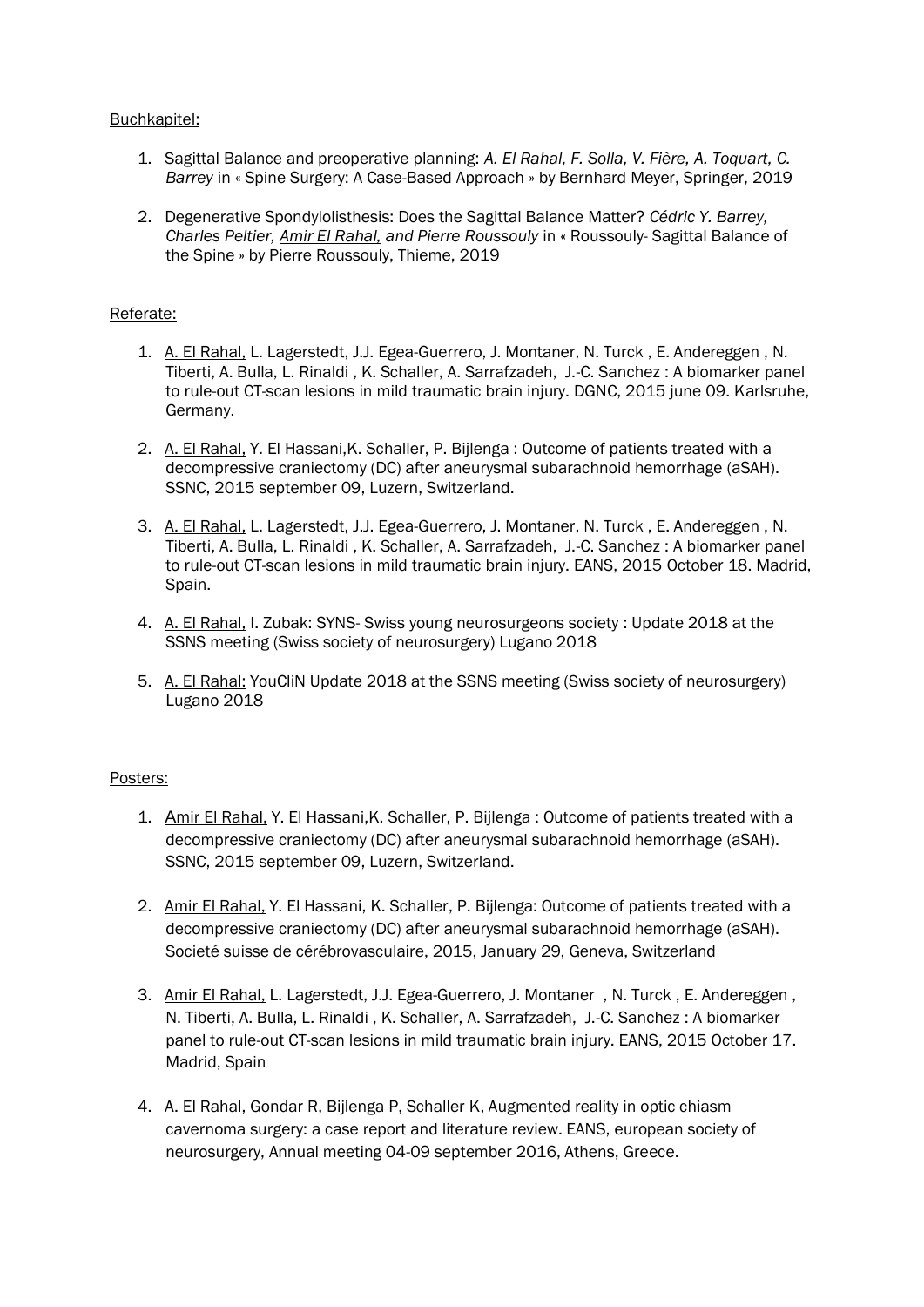### Buchkapitel:

- 1. Sagittal Balance and preoperative planning: *A. El Rahal, F. Solla, V. Fière, A. Toquart, C. Barrey* in « Spine Surgery: A Case-Based Approach » by Bernhard Meyer, Springer, 2019
- 2. Degenerative Spondylolisthesis: Does the Sagittal Balance Matter? *Cédric Y. Barrey, Charles Peltier, Amir El Rahal, and Pierre Roussouly* in « Roussouly- Sagittal Balance of the Spine » by Pierre Roussouly, Thieme, 2019

#### Referate:

- 1. A. El Rahal, L. Lagerstedt, J.J. Egea-Guerrero, J. Montaner, N. Turck , E. Andereggen , N. Tiberti, A. Bulla, L. Rinaldi , K. Schaller, A. Sarrafzadeh, J.-C. Sanchez : A biomarker panel to rule-out CT-scan lesions in mild traumatic brain injury. DGNC, 2015 june 09. Karlsruhe, Germany.
- 2. A. El Rahal, Y. El Hassani, K. Schaller, P. Bijlenga: Outcome of patients treated with a decompressive craniectomy (DC) after aneurysmal subarachnoid hemorrhage (aSAH). SSNC, 2015 september 09, Luzern, Switzerland.
- 3. A. El Rahal, L. Lagerstedt, J.J. Egea-Guerrero, J. Montaner, N. Turck , E. Andereggen , N. Tiberti, A. Bulla, L. Rinaldi , K. Schaller, A. Sarrafzadeh, J.-C. Sanchez : A biomarker panel to rule-out CT-scan lesions in mild traumatic brain injury. EANS, 2015 October 18. Madrid, Spain.
- 4. A. El Rahal, I. Zubak: SYNS- Swiss young neurosurgeons society : Update 2018 at the SSNS meeting (Swiss society of neurosurgery) Lugano 2018
- 5. A. El Rahal: YouCliN Update 2018 at the SSNS meeting (Swiss society of neurosurgery) Lugano 2018

# Posters:

- 1. Amir El Rahal, Y. El Hassani, K. Schaller, P. Bijlenga: Outcome of patients treated with a decompressive craniectomy (DC) after aneurysmal subarachnoid hemorrhage (aSAH). SSNC, 2015 september 09, Luzern, Switzerland.
- 2. Amir El Rahal, Y. El Hassani, K. Schaller, P. Bijlenga: Outcome of patients treated with a decompressive craniectomy (DC) after aneurysmal subarachnoid hemorrhage (aSAH). Societé suisse de cérébrovasculaire, 2015, January 29, Geneva, Switzerland
- 3. Amir El Rahal, L. Lagerstedt, J.J. Egea-Guerrero, J. Montaner , N. Turck , E. Andereggen , N. Tiberti, A. Bulla, L. Rinaldi , K. Schaller, A. Sarrafzadeh, J.-C. Sanchez : A biomarker panel to rule-out CT-scan lesions in mild traumatic brain injury. EANS, 2015 October 17. Madrid, Spain
- 4. A. El Rahal, Gondar R, Bijlenga P, Schaller K, Augmented reality in optic chiasm cavernoma surgery: a case report and literature review. EANS, european society of neurosurgery, Annual meeting 04-09 september 2016, Athens, Greece.